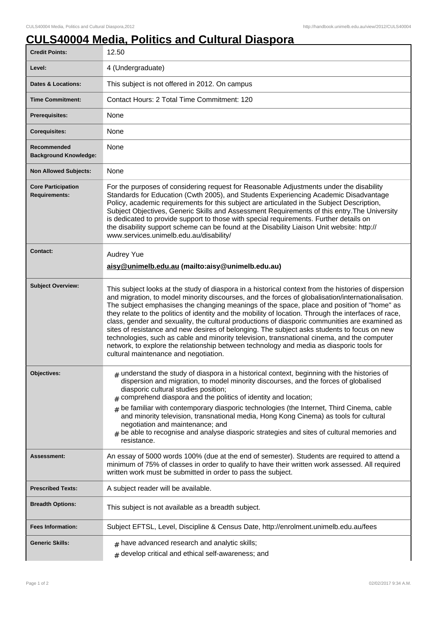## **CULS40004 Media, Politics and Cultural Diaspora**

| <b>Credit Points:</b>                             | 12.50                                                                                                                                                                                                                                                                                                                                                                                                                                                                                                                                                                                                                                                                                                                                                                                                                                                  |
|---------------------------------------------------|--------------------------------------------------------------------------------------------------------------------------------------------------------------------------------------------------------------------------------------------------------------------------------------------------------------------------------------------------------------------------------------------------------------------------------------------------------------------------------------------------------------------------------------------------------------------------------------------------------------------------------------------------------------------------------------------------------------------------------------------------------------------------------------------------------------------------------------------------------|
| Level:                                            | 4 (Undergraduate)                                                                                                                                                                                                                                                                                                                                                                                                                                                                                                                                                                                                                                                                                                                                                                                                                                      |
| <b>Dates &amp; Locations:</b>                     | This subject is not offered in 2012. On campus                                                                                                                                                                                                                                                                                                                                                                                                                                                                                                                                                                                                                                                                                                                                                                                                         |
| <b>Time Commitment:</b>                           | Contact Hours: 2 Total Time Commitment: 120                                                                                                                                                                                                                                                                                                                                                                                                                                                                                                                                                                                                                                                                                                                                                                                                            |
| <b>Prerequisites:</b>                             | None                                                                                                                                                                                                                                                                                                                                                                                                                                                                                                                                                                                                                                                                                                                                                                                                                                                   |
| <b>Corequisites:</b>                              | None                                                                                                                                                                                                                                                                                                                                                                                                                                                                                                                                                                                                                                                                                                                                                                                                                                                   |
| Recommended<br><b>Background Knowledge:</b>       | None                                                                                                                                                                                                                                                                                                                                                                                                                                                                                                                                                                                                                                                                                                                                                                                                                                                   |
| <b>Non Allowed Subjects:</b>                      | None                                                                                                                                                                                                                                                                                                                                                                                                                                                                                                                                                                                                                                                                                                                                                                                                                                                   |
| <b>Core Participation</b><br><b>Requirements:</b> | For the purposes of considering request for Reasonable Adjustments under the disability<br>Standards for Education (Cwth 2005), and Students Experiencing Academic Disadvantage<br>Policy, academic requirements for this subject are articulated in the Subject Description,<br>Subject Objectives, Generic Skills and Assessment Requirements of this entry. The University<br>is dedicated to provide support to those with special requirements. Further details on<br>the disability support scheme can be found at the Disability Liaison Unit website: http://<br>www.services.unimelb.edu.au/disability/                                                                                                                                                                                                                                       |
| <b>Contact:</b>                                   | Audrey Yue<br>aisy@unimelb.edu.au (mailto:aisy@unimelb.edu.au)                                                                                                                                                                                                                                                                                                                                                                                                                                                                                                                                                                                                                                                                                                                                                                                         |
| <b>Subject Overview:</b>                          | This subject looks at the study of diaspora in a historical context from the histories of dispersion<br>and migration, to model minority discourses, and the forces of globalisation/internationalisation.<br>The subject emphasises the changing meanings of the space, place and position of "home" as<br>they relate to the politics of identity and the mobility of location. Through the interfaces of race,<br>class, gender and sexuality, the cultural productions of diasporic communities are examined as<br>sites of resistance and new desires of belonging. The subject asks students to focus on new<br>technologies, such as cable and minority television, transnational cinema, and the computer<br>network, to explore the relationship between technology and media as diasporic tools for<br>cultural maintenance and negotiation. |
| <b>Objectives:</b>                                | $_{\#}$ understand the study of diaspora in a historical context, beginning with the histories of<br>dispersion and migration, to model minority discourses, and the forces of globalised<br>diasporic cultural studies position;<br>comprehend diaspora and the politics of identity and location;<br>be familiar with contemporary diasporic technologies (the Internet, Third Cinema, cable<br>#<br>and minority television, transnational media, Hong Kong Cinema) as tools for cultural<br>negotiation and maintenance; and<br>be able to recognise and analyse diasporic strategies and sites of cultural memories and<br>resistance.                                                                                                                                                                                                            |
| <b>Assessment:</b>                                | An essay of 5000 words 100% (due at the end of semester). Students are required to attend a<br>minimum of 75% of classes in order to qualify to have their written work assessed. All required<br>written work must be submitted in order to pass the subject.                                                                                                                                                                                                                                                                                                                                                                                                                                                                                                                                                                                         |
| <b>Prescribed Texts:</b>                          | A subject reader will be available.                                                                                                                                                                                                                                                                                                                                                                                                                                                                                                                                                                                                                                                                                                                                                                                                                    |
| <b>Breadth Options:</b>                           | This subject is not available as a breadth subject.                                                                                                                                                                                                                                                                                                                                                                                                                                                                                                                                                                                                                                                                                                                                                                                                    |
| <b>Fees Information:</b>                          | Subject EFTSL, Level, Discipline & Census Date, http://enrolment.unimelb.edu.au/fees                                                                                                                                                                                                                                                                                                                                                                                                                                                                                                                                                                                                                                                                                                                                                                   |
| <b>Generic Skills:</b>                            | $#$ have advanced research and analytic skills;<br>$#$ develop critical and ethical self-awareness; and                                                                                                                                                                                                                                                                                                                                                                                                                                                                                                                                                                                                                                                                                                                                                |